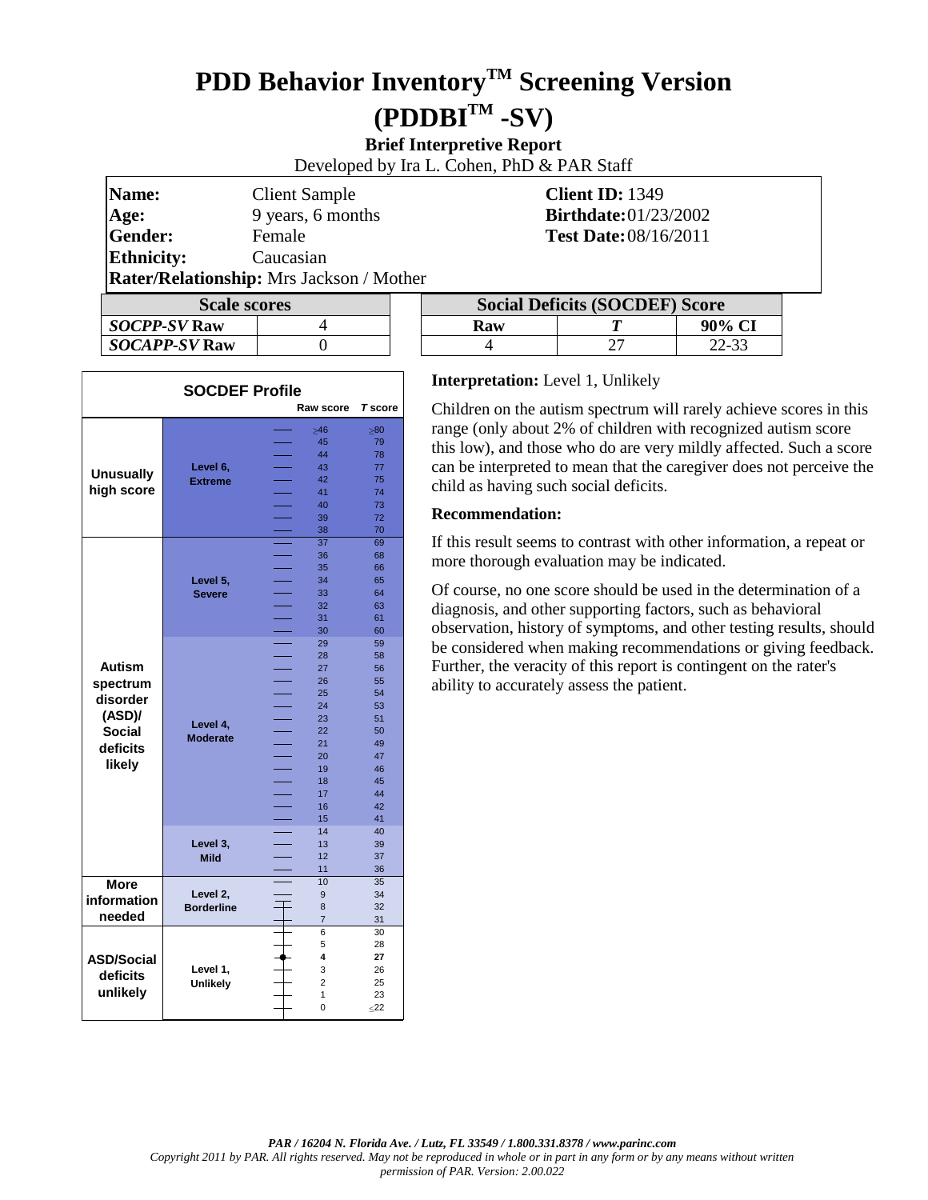# **PDD Behavior InventoryTM Screening Version (PDDBITM -SV)**

## **Brief Interpretive Report**

Developed by Ira L. Cohen, PhD & PAR Staff

| Name:<br>Age:                                   | <b>Client Sample</b><br>9 years, 6 months | <b>Client ID: 1349</b><br><b>Birthdate:</b> 01/23/2002 |  |  |
|-------------------------------------------------|-------------------------------------------|--------------------------------------------------------|--|--|
| Gender:                                         | Female                                    | <b>Test Date: 08/16/2011</b>                           |  |  |
| <b>Ethnicity:</b>                               | Caucasian                                 |                                                        |  |  |
| <b>Rater/Relationship:</b> Mrs Jackson / Mother |                                           |                                                        |  |  |
| <b>Scale scores</b>                             |                                           | <b>Social Deficits (SOCDEF) Score</b>                  |  |  |

| <b>Scale scores</b>  |  |  |  |
|----------------------|--|--|--|
| <b>SOCPP-SV Raw</b>  |  |  |  |
| <b>SOCAPP-SV Raw</b> |  |  |  |

| <b>AMICI/ACHAMIOIDINDI ITILO JUCHOON / ITIOMICI</b> |  |  |                                       |  |        |  |
|-----------------------------------------------------|--|--|---------------------------------------|--|--------|--|
| <b>Scale scores</b>                                 |  |  | <b>Social Deficits (SOCDEF) Score</b> |  |        |  |
| <i>SOCPP-SV</i> Raw                                 |  |  | Raw                                   |  | 90% CI |  |
| <i>SOCAPP-SV</i> Raw                                |  |  |                                       |  | 22-33  |  |

| <b>SOCDEF Profile</b> |                             |                              |                 |  |
|-----------------------|-----------------------------|------------------------------|-----------------|--|
|                       |                             | <b>Raw score</b>             | <b>T</b> score  |  |
|                       |                             | $\geq 46$                    | $\geq 80$       |  |
|                       |                             | 45                           | 79              |  |
|                       |                             | 44                           | 78              |  |
|                       | Level 6,<br><b>Extreme</b>  | 43                           | 77              |  |
| <b>Unusually</b>      |                             | 42                           | 75              |  |
| high score            |                             | 41                           | 74              |  |
|                       |                             | 40                           | 73              |  |
|                       |                             | 39                           | 72              |  |
|                       |                             | 38                           | 70              |  |
|                       |                             | 37                           | 69              |  |
|                       |                             | 36                           | 68              |  |
|                       |                             | 35                           | 66              |  |
|                       | Level 5,                    | 34                           | 65              |  |
|                       | <b>Severe</b>               | 33                           | 64              |  |
|                       |                             | 32                           | 63              |  |
|                       |                             | 31                           | 61              |  |
|                       |                             | 30                           | 60              |  |
|                       |                             | 29                           | 59              |  |
|                       |                             | 28                           | 58              |  |
| <b>Autism</b>         |                             | 27                           | 56              |  |
| spectrum              | Level 4,<br><b>Moderate</b> | 26                           | 55              |  |
| disorder              |                             | 25                           | 54              |  |
|                       |                             | 24<br><b>Service Service</b> | 53              |  |
| (ASD)                 |                             | 23                           | 51              |  |
| <b>Social</b>         |                             | 22                           | 50              |  |
| deficits              |                             | 21                           | 49              |  |
|                       |                             | 20                           | 47              |  |
| likely                |                             | 19                           | 46              |  |
|                       |                             | 18                           | 45              |  |
|                       |                             | 17                           | 44              |  |
|                       |                             | 16                           | 42              |  |
|                       |                             | 15                           | 41              |  |
|                       |                             | 14                           | 40              |  |
|                       | Level 3,                    | 13                           | 39              |  |
|                       | <b>Mild</b>                 | 12                           | 37              |  |
|                       |                             | 11                           | 36              |  |
| More                  |                             | 10                           | 35              |  |
| information           | Level 2,                    | 9                            | 34              |  |
|                       | <b>Borderline</b>           | 8                            | 32              |  |
| needed                |                             | $\overline{7}$               | 31              |  |
|                       |                             | 6                            | 30              |  |
|                       |                             | 5                            | 28              |  |
| <b>ASD/Social</b>     |                             | 4                            | 27              |  |
| deficits              | Level 1,                    | 3                            | 26              |  |
|                       |                             |                              | 25              |  |
|                       | <b>Unlikely</b>             | $\overline{2}$               |                 |  |
| unlikely              |                             | 1<br>0                       | 23<br>$\leq$ 22 |  |

#### **Interpretation:** Level 1, Unlikely

Children on the autism spectrum will rarely achieve scores in this range (only about 2% of children with recognized autism score this low), and those who do are very mildly affected. Such a score can be interpreted to mean that the caregiver does not perceive the child as having such social deficits.

#### **Recommendation:**

If this result seems to contrast with other information, a repeat or more thorough evaluation may be indicated.

Of course, no one score should be used in the determination of a diagnosis, and other supporting factors, such as behavioral observation, history of symptoms, and other testing results, should be considered when making recommendations or giving feedback. Further, the veracity of this report is contingent on the rater's ability to accurately assess the patient.